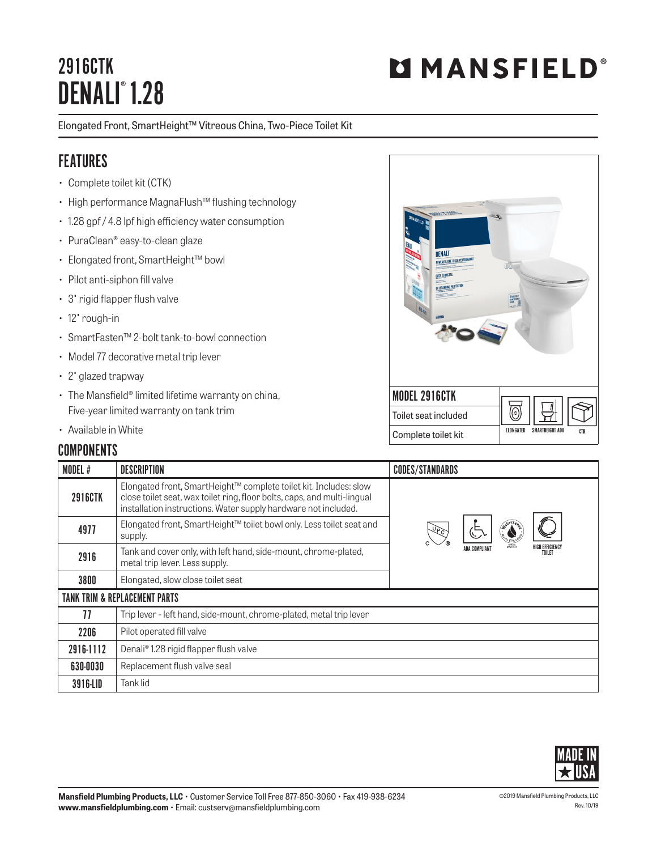## 2916CTK DENALI<sup>®</sup> 1.28

# **MMANSFIELD**

#### Elongated Front, SmartHeight™ Vitreous China, Two-Piece Toilet Kit

### FEATURES

- Complete toilet kit (CTK)
- High performance MagnaFlush™ flushing technology
- 1.28 gpf / 4.8 lpf high efficiency water consumption
- PuraClean® easy-to-clean glaze
- Elongated front, SmartHeight™ bowl
- Pilot anti-siphon fill valve
- 3" rigid flapper flush valve
- 12" rough-in
- SmartFasten™ 2-bolt tank-to-bowl connection
- Model 77 decorative metal trip lever
- 2" glazed trapway
- The Mansfield® limited lifetime warranty on china, Five-year limited warranty on tank trim
- Available in White

#### **COMPONENTS**

| MODEL #        | <b>DESCRIPTION</b>                                                                                                                                                                                              | <b>CODES/STANDARDS</b> |  |
|----------------|-----------------------------------------------------------------------------------------------------------------------------------------------------------------------------------------------------------------|------------------------|--|
| <b>2916CTK</b> | Elongated front, SmartHeight™ complete toilet kit. Includes: slow<br>close toilet seat, wax toilet ring, floor bolts, caps, and multi-lingual<br>installation instructions. Water supply hardware not included. |                        |  |
| 4977           | Elongated front, SmartHeight™ toilet bowl only. Less toilet seat and<br><u> एक्ट</u><br>supply.                                                                                                                 |                        |  |
| 2916           | HIGH EFFICIENCY<br>Tank and cover only, with left hand, side-mount, chrome-plated,<br>TOILET<br>metal trip lever. Less supply.                                                                                  |                        |  |
| 3800           | Elongated, slow close toilet seat                                                                                                                                                                               |                        |  |
|                | <b>TANK TRIM &amp; REPLACEMENT PARTS</b>                                                                                                                                                                        |                        |  |
| 77             | Trip lever - left hand, side-mount, chrome-plated, metal trip lever                                                                                                                                             |                        |  |
| 2206           | Pilot operated fill valve                                                                                                                                                                                       |                        |  |
| 2916-1112      | Denali® 1.28 rigid flapper flush valve                                                                                                                                                                          |                        |  |
| 630-0030       | Replacement flush valve seal                                                                                                                                                                                    |                        |  |
| 3916-LID       | Tank lid                                                                                                                                                                                                        |                        |  |





| <b>UMANSFIELD'</b><br>lu.<br>DENALI<br>POWERFUL ONE FLUSH PERFORMANCE<br><b>EASY TO INSTALL</b><br>$n_{101}$<br><b>Hitti</b> | 回<br>033160017<br><b>MARTIN</b>     |
|------------------------------------------------------------------------------------------------------------------------------|-------------------------------------|
| <b>MODEL 2916CTK</b>                                                                                                         |                                     |
| Toilet seat included                                                                                                         | ່ວ                                  |
| Complete toilet kit                                                                                                          | ELONGATED<br>SMARTHEIGHT ADA<br>CTK |